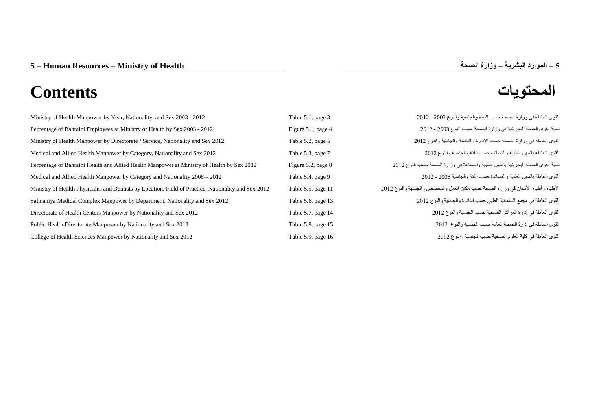| Ministry of Health Manpower by Year, Nationality and Sex 2003 - 2012                                | Table 5.1, page 3  | القوى العاملة في وزارة الصحة حسب السنة والجنسية والنوع 2003 - 2012                 |
|-----------------------------------------------------------------------------------------------------|--------------------|------------------------------------------------------------------------------------|
| Percentage of Bahraini Employees at Ministry of Health by Sex 2003 - 2012                           | Figure 5.1, page 4 | نسبة القوى العاملة البحرينية في وزارة الصحة حسب النوع 2003 - 2012                  |
| Ministry of Health Manpower by Directorate / Service, Nationality and Sex 2012                      | Table 5.2, page 5  | القوى العاملة في وزارة الصحة حسب الإدارة / الخدمة والجنسية والنوع 2012             |
| Medical and Allied Health Manpower by Category, Nationality and Sex 2012                            | Table 5.3, page 7  | القوى العاملة بالمهن الطبية والمساندة حسب الفئة والجنسية والنوع 2012               |
| Percentage of Bahraini Health and Allied Health Manpower at Ministry of Health by Sex 2012          | Figure 5.2, page 8 | نسبة القوى العاملة البحرينية بالمهن الطبية والمساندة في وزارة الصحة حسب النوع 2012 |
| Medical and Allied Health Manpower by Category and Nationality 2008 – 2012                          | Table 5.4, page 9  | القوى العاملة بالمهن الطبية والمساندة حسب الفئة والجنسية 2008 - 2012               |
| Ministry of Health Physicians and Dentists by Location, Field of Practice, Nationality and Sex 2012 | Table 5.5, page 11 | الأطباء وأطباء الأسنان في وزارة الصحة حسب مكان العمل والتخصص والجنسية والنوع 2012  |
| Salmaniya Medical Complex Manpower by Department, Nationality and Sex 2012                          | Table 5.6, page 13 | القوى العاملة في مجمع السلمانية الطبي حسب الدائرة والجنسية والنوع 2012             |
| Directorate of Health Centers Manpower by Nationality and Sex 2012                                  | Table 5.7, page 14 | القوى العاملة في إدارة المراكز الصحية حسب الجنسية والنوع 2012                      |
| Public Health Directorate Manpower by Nationality and Sex 2012                                      | Table 5.8, page 15 | القوى العاملة في إدارة الصحة العامة حسب الجنسية والنوع 2012                        |
| College of Health Sciences Manpower by Nationality and Sex 2012                                     | Table 5.9, page 16 | القوى العاملة في كلية العلوم الصحية حسب الجنسية والنوع 2012                        |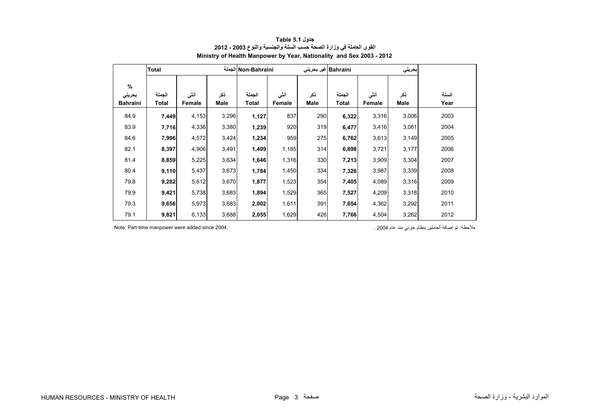<span id="page-1-0"></span>

|                 | Total        | Non-Bahraini الجملة |       |        |        |      | Bahraini غير بحريني |        |       |       |
|-----------------|--------------|---------------------|-------|--------|--------|------|---------------------|--------|-------|-------|
| $\%$            |              |                     |       |        |        |      |                     |        |       |       |
| بحريني          | الجملة       | أنشى                | ذكر   | الجملة | أنثى   | نكر  | الجملة              | أنشى   | ذكر   | السنة |
| <b>Bahraini</b> | <b>Total</b> | Female              | Male  | Total  | Female | Male | Total               | Female | Male  | Year  |
| 84.9            | 7,449        | 4,153               | 3,296 | 1,127  | 837    | 290  | 6,322               | 3,316  | 3,006 | 2003  |
| 83.9            | 7,716        | 4,336               | 3,380 | 1,239  | 920    | 319  | 6,477               | 3,416  | 3,061 | 2004  |
| 84.6            | 7,996        | 4,572               | 3,424 | 1,234  | 959    | 275  | 6,762               | 3,613  | 3,149 | 2005  |
| 82.1            | 8,397        | 4,906               | 3,491 | 1,499  | 1,185  | 314  | 6,898               | 3,721  | 3,177 | 2006  |
| 81.4            | 8,859        | 5,225               | 3,634 | 1,646  | 1,316  | 330  | 7,213               | 3,909  | 3,304 | 2007  |
| 80.4            | 9,110        | 5,437               | 3,673 | 1,784  | 1,450  | 334  | 7,326               | 3,987  | 3,339 | 2008  |
| 79.8            | 9,282        | 5,612               | 3,670 | 1,877  | 1,523  | 354  | 7,405               | 4,089  | 3,316 | 2009  |
| 79.9            | 9,421        | 5,738               | 3,683 | 1,894  | 1,529  | 365  | 7,527               | 4,209  | 3,318 | 2010  |
| 79.3            | 9,656        | 5,973               | 3,683 | 2,002  | 1,611  | 391  | 7,654               | 4,362  | 3,292 | 2011  |
| 79.1            | 9,821        | 6,133               | 3,688 | 2,055  | 1,629  | 426  | 7,766               | 4,504  | 3,262 | 2012  |

# **جدول 5.1 Table القوى العاملة في وزارة الصحة حسب السنة والجنسية والنوع 2003 - 2012 Ministry of Health Manpower by Year, Nationality and Sex 2003 - 2012**

مالحظة: تم إضافة العاملين بنظام جزئي منذ عام 2004 . 2004. since added were manpower time-Part :Note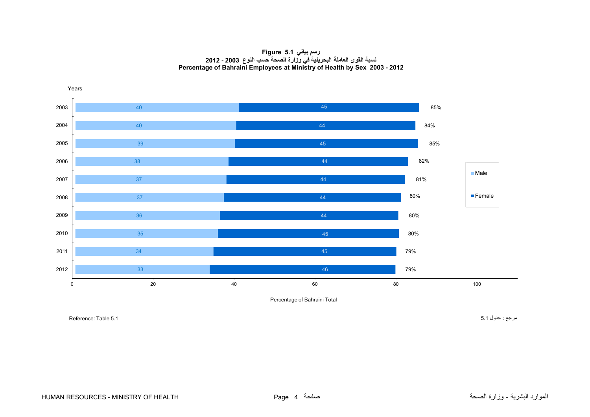**رسم بياني 5.1 Figure نسبة القوى العاملة البحرينية في وزارة الصحة حسب النوع 2003 - 2012 Percentage of Bahraini Employees at Ministry of Health by Sex 2003 - 2012**

<span id="page-2-0"></span>

Percentage of Bahraini Total

مرجع : جدول 5.1 5.1 Table :Reference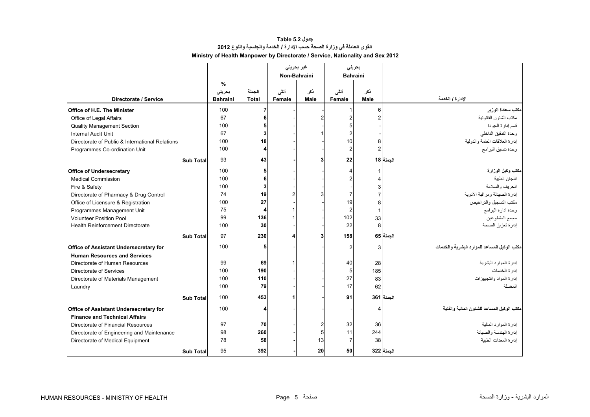# **جدول 5.2 Table القوى العاملة في وزارة الصحة حسب اإلدارة / الخدمة والجنسية والنوع <sup>2012</sup> Ministry of Health Manpower by Directorate / Service, Nationality and Sex 2012**

<span id="page-3-0"></span>

|                                                 |                  |                                |                        |                | غیر بحرینی     | بحريني          |                    |                                              |
|-------------------------------------------------|------------------|--------------------------------|------------------------|----------------|----------------|-----------------|--------------------|----------------------------------------------|
|                                                 |                  |                                |                        |                | Non-Bahraini   | <b>Bahraini</b> |                    |                                              |
| Directorate / Service                           |                  | %<br>بحريني<br><b>Bahraini</b> | الجملة<br><b>Total</b> | أنشى<br>Female | نكر<br>Male    | أنشى<br>Female  | ذکر<br><b>Male</b> | الإدارة / الخدمة                             |
| <b>Office of H.E. The Minister</b>              |                  | 100                            | $\overline{7}$         |                |                |                 | 6                  | مكتب سعادة الوزير                            |
| Office of Legal Affairs                         |                  | 67                             | 6                      |                | $\overline{2}$ |                 | $\overline{2}$     | مكتب الشئون القانونية                        |
| <b>Quality Management Section</b>               |                  | 100                            |                        |                |                |                 |                    | قسم إدارة الجودة                             |
| <b>Internal Audit Unit</b>                      |                  | 67                             | $\mathbf{3}$           |                |                |                 |                    | وحدة التدقيق الداخلي                         |
| Directorate of Public & International Relations |                  | 100                            | 18                     |                |                | 10              | 8                  | إدارة العلاقات العامة والدولية               |
| Programmes Co-ordination Unit                   |                  | 100                            | 4                      |                |                | $\overline{2}$  | $\overline{2}$     | وحدة تنسيق البرامج                           |
|                                                 | <b>Sub Total</b> | 93                             | 43                     |                | 3              | 22              |                    | الجملة 18                                    |
| <b>Office of Undersecretary</b>                 |                  | 100                            | 5 <sub>5</sub>         |                |                |                 |                    | مكتب وكيل الوزارة                            |
| <b>Medical Commission</b>                       |                  | 100                            | 6                      |                |                |                 |                    | اللجان الطبية                                |
| Fire & Safety                                   |                  | 100                            | $\mathbf{3}$           |                |                |                 | 3                  | الحريف والسلامة                              |
| Directorate of Pharmacy & Drug Control          |                  | 74                             | 19                     |                | 3              | $\overline{7}$  |                    | إدارة الصيدلة ومراقبة الأدوية                |
| Office of Licensure & Registration              |                  | 100                            | 27                     |                |                | 19              | 8                  | مكتب التسجيل والتراخيص                       |
| Programmes Management Unit                      |                  | 75                             | 4                      |                |                | $\overline{2}$  | $\mathbf{1}$       | وحدة ادارة البرامج                           |
| <b>Volunteer Position Pool</b>                  |                  | 99                             | 136                    |                |                | 102             | 33                 | مجمع المتطوعين                               |
| Health Reinforcement Directorate                |                  | 100                            | 30                     |                |                | 22              | 8                  | إدارة تعزيز الصحة                            |
|                                                 | <b>Sub Total</b> | 97                             | 230                    |                | 3              | 158             |                    | الجملة 65                                    |
| Office of Assistant Undersecretary for          |                  | 100                            | 5 <sub>5</sub>         |                |                | 2               | 3                  | مكتب الوكيل المساعد للموارد البشرية والخدمات |
| <b>Human Resources and Services</b>             |                  |                                |                        |                |                |                 |                    |                                              |
| Directorate of Human Resources                  |                  | 99                             | 69                     |                |                | 40              | 28                 | إدارة الموارد البشرية                        |
| Directorate of Services                         |                  | 100                            | 190                    |                |                | 5               | 185                | إدارة الخدمات                                |
| Directorate of Materials Management             |                  | 100                            | 110                    |                |                | 27              | 83                 | إدارة المواد والتجهيزات                      |
| Laundry                                         |                  | 100                            | 79                     |                |                | 17              | 62                 | المغسلة                                      |
|                                                 | <b>Sub Total</b> | 100                            | 453                    |                |                | 91              |                    | الجملة 361                                   |
| <b>Office of Assistant Undersecretary for</b>   |                  | 100                            | 4                      |                |                |                 |                    | مكتب الوكيل المساعد للشئون المالية والفنية   |
| <b>Finance and Technical Affairs</b>            |                  |                                |                        |                |                |                 |                    |                                              |
| Directorate of Financial Resources              |                  | 97                             | <b>70</b>              |                | $\overline{2}$ | 32              | 36                 | إدار ة المو ار د المالية                     |
| Directorate of Engineering and Maintenance      |                  | 98                             | 260                    |                | 5              | 11              | 244                | إدارة الهندسة والصيانة                       |
| Directorate of Medical Equipment                |                  | 78                             | 58                     |                | 13             | $\overline{7}$  | 38                 | إدار ة المعدات الطببة                        |
|                                                 | <b>Sub Total</b> | 95                             | 392                    |                | 20             | 50              |                    | الجملة 322                                   |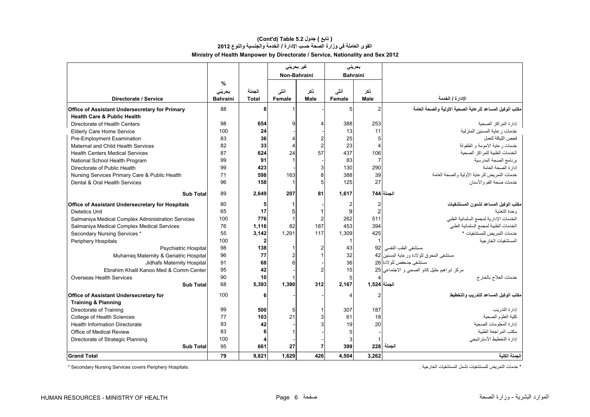# **Ministry of Health Manpower by Directorate / Service, Nationality and Sex 2012 (Cont'd) Table 5.2 جدول ) تابع( القوى العاملة في وزارة الصحة حسب اإلدارة / الخدمة والجنسية والنوع <sup>2012</sup>**

|                                                         |                 |              | غیر بحرینی     |             | بحرينى          |                |                                                           |
|---------------------------------------------------------|-----------------|--------------|----------------|-------------|-----------------|----------------|-----------------------------------------------------------|
|                                                         |                 |              | Non-Bahraini   |             | <b>Bahraini</b> |                |                                                           |
|                                                         | %               |              |                |             |                 |                |                                                           |
|                                                         | بحرينى          | الجملة       | أنشى           | ڏکر         | أنشى            | ذکر            |                                                           |
| Directorate / Service                                   | <b>Bahraini</b> | <b>Total</b> | Female         | <b>Male</b> | Female          | Male           | الإدارة / الخدمة                                          |
| <b>Office of Assistant Undersecretary for Primary</b>   | 88              | 8            |                |             | 5 <sup>1</sup>  | $\overline{2}$ | مكتب الوكيل المساعد للر عاية الصحية الأولية والصحة العامة |
| <b>Health Care &amp; Public Health</b>                  |                 |              |                |             |                 |                |                                                           |
| Directorate of Health Centers                           | 98              | 654          | 9              |             | 388             | 253            | إدارة المراكز الصحبة                                      |
| <b>Elderly Care Home Service</b>                        | 100             | 24           |                |             | 13              | 11             | خدمات رعاية المسنين المنزلية                              |
| Pre-Employment Examination                              | 83              | 36           | $\overline{4}$ |             | 25              | 5              | فحص اللباقة للعمل                                         |
| Maternal and Child Health Services                      | 82              | 33           | $\overline{4}$ |             | 23              | $\overline{4}$ | خدمات رعاية الامومة و الطفولة                             |
| <b>Health Centers Medical Services</b>                  | 87              | 624          | 24             | 57          | 437             | 106            | الخدمات الطبية للمراكز الصحية                             |
| National School Health Program                          | 99              | 91           | $\mathbf{1}$   |             | 83              | $\overline{7}$ | برنامج الصحة المدرسية                                     |
| Directorate of Public Health                            | 99              | 423          |                |             | 130             | 290            | إدارة الصحة العامة                                        |
| Nursing Services Primary Care & Public Health           | 71              | 598          | 163            |             | 388             | 39             | خدمات التمر يض للر عاية الأولية و الصحة العامة            |
| Dental & Oral Health Services                           | 96              | 158          | $\mathbf{1}$   | 5           | 125             | 27             | خدمات صحة الفم و الأسنان                                  |
| <b>Sub Total</b>                                        | 89              | 2.649        | 207            | 81          | 1.617           |                | الحملة 744                                                |
| <b>Office of Assistant Undersecretary for Hospitals</b> | 80              | 5            | 1              |             |                 | $\overline{2}$ | مكتب الوكيل المساعد لشئون المستشفيات                      |
| Dietetics Unit                                          | 65              | 17           | 5              |             | 9               | $\overline{2}$ | وحدة التغذبة                                              |
| Salmaniya Medical Complex Administration Services       | 100             | 776          | $\mathbf{1}$   |             | 262             | 511            | الخدمات الإدارية لمجمع السلمانية الطبي                    |
| Salmaniya Medical Complex Medical Services              | 76              | 1.116        | 82             | 187         | 453             | 394            | الخدمات الطبية لمجمع السلمانية الطبي                      |
| Secondary Nursing Services *                            | 55              | 3,142        | 1,291          | 117         | 1,309           | 425            | خدمات التمر يض للمستشفيات *                               |
| Periphery Hospitals                                     | 100             |              |                |             |                 |                | المستشفيات الخار جبة                                      |
| <b>Psychiatric Hospital</b>                             | 98              | 138          | -1             |             | 43              | 92             | مستشفى الطب النفسي                                        |
| Muharrag Maternity & Geriatric Hospital                 | 96              | 77           | $\overline{2}$ |             | 32              |                | مستشفى المحرق للو لادة ور عاية المسنين 42                 |
| Jidhafs Maternity Hospital                              | 91              | 68           | 6              |             | 36              |                | مستشفى جدحفص للولادة 26                                   |
| Ebrahim Khalil Kanoo Med & Comm Center                  | 95              | 42           |                | 2           | 15              |                | مركز ابراهيم خليل كانو الصحى و الاجتماعي 25               |
| Overseas Health Services                                | 90              | 10           |                |             | 5               |                | خدمات العلاج بالخارج                                      |
| <b>Sub Total</b>                                        | 68              | 5,393        | 1,390          | 312         | 2,167           | الجملة   1,524 |                                                           |
| Office of Assistant Undersecretary for                  | 100             | 6            |                |             |                 | $\overline{2}$ | مكتب الوكيل المساعد للتدريب والتخطيط                      |
| <b>Training &amp; Planning</b>                          |                 |              |                |             |                 |                |                                                           |
| Directorate of Training                                 | 99              | 500          | 5              |             | 307             | 187            | إدار ة التدر يب                                           |
| College of Health Sciences                              | 77              | 103          | 21             |             | 61              | 18             | كلبة العلوم الصحبة                                        |
| <b>Health Information Directorate</b>                   | 93              | 42           |                |             | 19              | 20             | إدارة المعلومات الصحية                                    |
| Office of Medical Review                                | 83              |              |                |             |                 |                | مكتب المر اجعة الطبية                                     |
| Directorate of Strategic Planning                       | 100             |              |                |             |                 |                | إدارة التخطيط الأستر اتيجي                                |
| <b>Sub Total</b>                                        | 95              | 661          | 27             |             | 399             |                | الجملة 228                                                |
| <b>Grand Total</b>                                      | 79              | 9.821        | 1.629          | 426         | 4.504           | 3,262          | الجملة الكلية                                             |

\* Secondary Nursing Services covers Periphery Hospitals.

\* خدمات التمريض للمستشفيات تشمل المستشفيات الخارجية .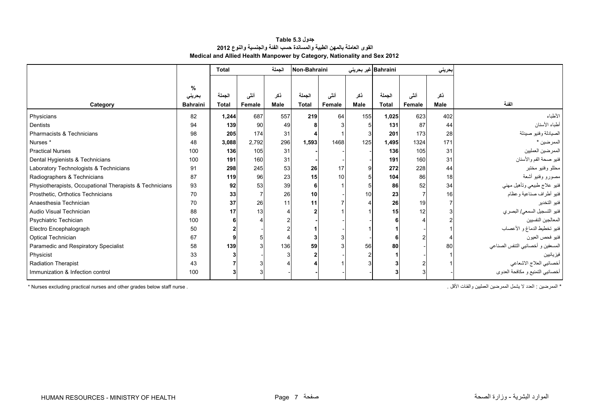| جدول Table 5.3                                                           |  |  |  |  |  |  |  |  |
|--------------------------------------------------------------------------|--|--|--|--|--|--|--|--|
| القوى العاملة بالمهن الطبية والمساندة حسب الفنة والجنسية والنوع 2012     |  |  |  |  |  |  |  |  |
| Medical and Allied Health Manpower by Category, Nationality and Sex 2012 |  |  |  |  |  |  |  |  |

<span id="page-5-0"></span>

|                                                         |                 | <b>Total</b>   |        | الجملة      | Non-Bahraini |        |                 | Bahraini غير بحريني |        | بحريني      |                                   |
|---------------------------------------------------------|-----------------|----------------|--------|-------------|--------------|--------|-----------------|---------------------|--------|-------------|-----------------------------------|
|                                                         |                 |                |        |             |              |        |                 |                     |        |             |                                   |
|                                                         | %               |                |        |             |              |        |                 |                     |        |             |                                   |
|                                                         | بحريني          | الجملة         | أننى   | ذكر         | الجملة       | أنشى   | ذكر             | الجملة              | أننى   | نكر         | الفئة                             |
| Category                                                | <b>Bahraini</b> | Total          | Female | <b>Male</b> | <b>Total</b> | Female | <b>Male</b>     | <b>Total</b>        | Female | <b>Male</b> |                                   |
| Physicians                                              | 82              | 1,244          | 687    | 557         | 219          | 64     | 155             | 1,025               | 623    | 402         | الأطباء                           |
| <b>Dentists</b>                                         | 94              | 139            | 90     | 49          |              |        |                 | 131                 | 87     | 44          | أطباء الأسنان                     |
| Pharmacists & Technicians                               | 98              | 205            | 174    | 31          |              |        |                 | 201                 | 173    | 28          | الصيادلة وفنيو صيدلة              |
| Nurses <sup>*</sup>                                     | 48              | 3,088          | 2,792  | 296         | 1,593        | 1468   | 125             | 1,495               | 1324   | 171         | الممرضين *                        |
| <b>Practical Nurses</b>                                 | 100             | 136            | 105    | 31          |              |        |                 | 136                 | 105    | 31          | الممر ضين العمليين                |
| Dental Hygienists & Technicians                         | 100             | 191            | 160    | 31          |              |        |                 | 191                 | 160    | 31          | فنيو صحة الفم والأسنان            |
| Laboratory Technologists & Technicians                  | 91              | 298            | 245    | 53          | 26           | 17     | 9               | 272                 | 228    | 44          | محللو وفنيو مختبر                 |
| Radiographers & Technicians                             | 87              | 119            | 96     | 23          | 15           | 10     |                 | 104                 | 86     | 18          | مصورو وفنيو أشعة                  |
| Physiotherapists, Occupational Therapists & Technicians | 93              | 92             | 53     | 39          |              |        |                 | 86                  | 52     | 34          | فنيو علاج طبيعي وتأهيل مهني       |
| Prosthetic, Orthotics Technicians                       | 70              | 33             |        | 26          | 10           |        | 10 <sup>1</sup> | 23                  |        | 16          | فنيو أطراف صناعية وعظام           |
| Anaesthesia Technician                                  | 70              | 37             | 26     | 11          | 11           |        |                 | 26                  | 19     |             | فنيو التخدير                      |
| Audio Visual Technician                                 | 88              | 17             | 13     |             |              |        |                 | 15                  | 12     |             | فنيو التسجيل السمعي/ البصر ي      |
| Psychiatric Techician                                   | 100             | 6              |        |             |              |        |                 |                     |        |             | المعالجين النفسيين                |
| Electro Encephalograph                                  | 50              | $\overline{2}$ |        |             |              |        |                 |                     |        |             | فنيو تخطيط الدماغ و الأعصاب       |
| Optical Technician                                      | 67              | 9              |        |             |              | 3      |                 |                     |        |             | فنيو فحص العيون                   |
| Paramedic and Respiratory Specialist                    | 58              | 139            |        | 136         | 59           |        | 56              | 80                  |        | 80          | المسعفين و أخصائيي التنفس الصناعي |
| Physicist                                               | 33              | 3              |        |             |              |        |                 |                     |        |             | فيز يائيين                        |
| <b>Radiation Therapist</b>                              | 43              |                |        |             |              |        |                 |                     |        |             | أخصائيي العلاج الاشعاعي           |
| Immunization & Infection control                        | 100             | 3              |        |             |              |        |                 |                     |        |             | أخصائبي التمنيع و مكافحة العدوى   |

\* Nurses excluding practical nurses and other grades below staff nurse . . األقل والفئات العمليين الممرضين يشمل ال العدد : الممرضين\*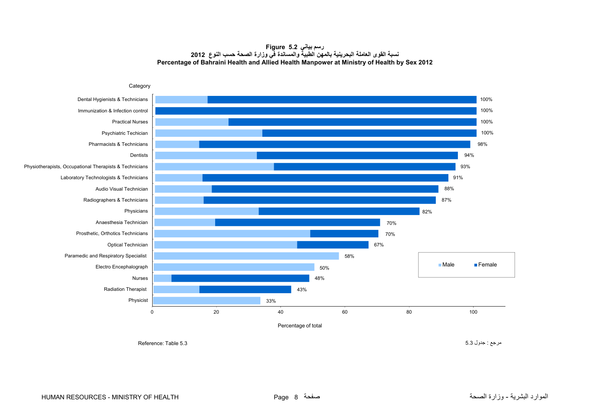#### **رسم بياني 5.2 Figure نسبة القوى العاملة البحرينية بالمھن الطبية والمساندة في وزارة الصحة حسب النوع <sup>2012</sup> Percentage of Bahraini Health and Allied Health Manpower at Ministry of Health by Sex 2012**

<span id="page-6-0"></span>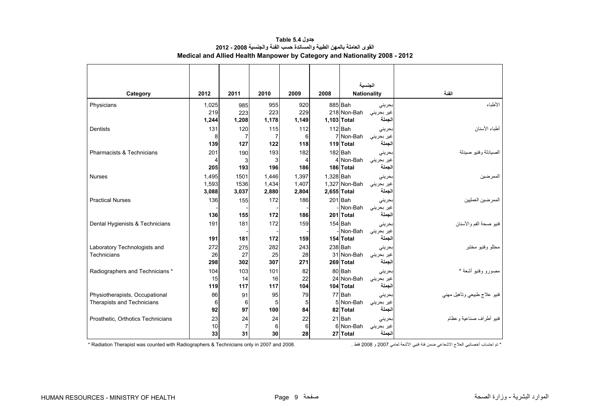<span id="page-7-0"></span>

|                                   |       |       |                |       |           | الجنسية            |            |                             |
|-----------------------------------|-------|-------|----------------|-------|-----------|--------------------|------------|-----------------------------|
| Category                          | 2012  | 2011  | 2010           | 2009  | 2008      | <b>Nationality</b> |            | الفنة                       |
| Physicians                        | 1,025 | 985   | 955            | 920   |           | 885 Bah            | بحرينى     | الأطباء                     |
|                                   | 219   | 223   | 223            | 229   |           | 218 Non-Bah        | غیر بحرینی |                             |
|                                   | 1,244 | 1,208 | 1,178          | 1,149 |           | 1,103 Total        | الجملة     |                             |
| Dentists                          | 131   | 120   | 115            | 112   |           | 112 Bah            | بحرينى     | أطباء الأسنان               |
|                                   | 8     | 7     | $\overline{7}$ | 6     |           | 7 Non-Bah          | غیر بحرینی |                             |
|                                   | 139   | 127   | 122            | 118   |           | 119 Total          | الجملة     |                             |
| Pharmacists & Technicians         | 201   | 190   | 193            | 182   |           | 182 Bah            | بحريني     | الصيادلة وفنيو صيدلة        |
|                                   | 4     | 3     | 3              | 4     |           | 4 Non-Bah          | غير بحريني |                             |
|                                   | 205   | 193   | 196            | 186   |           | 186 Total          | الجملة     |                             |
| <b>Nurses</b>                     | 1,495 | 1501  | 1,446          | 1,397 | 1.328 Bah |                    | بحرينى     | الممر ضين                   |
|                                   | 1,593 | 1536  | 1,434          | 1,407 |           | 1,327 Non-Bah      | غير بحريني |                             |
|                                   | 3,088 | 3,037 | 2,880          | 2,804 |           | 2,655 Total        | الجملة     |                             |
| <b>Practical Nurses</b>           | 136   | 155   | 172            | 186   |           | 201 Bah            | بحرينى     | الممرضين العمليين           |
|                                   |       |       |                |       |           | -Non-Bah           | غير بحريني |                             |
|                                   | 136   | 155   | 172            | 186   |           | 201 Total          | الجملة     |                             |
| Dental Hygienists & Technicians   | 191   | 181   | 172            | 159   |           | 154 Bah            | بحرينى     | فنيو صحة الفم والأسنان      |
|                                   |       |       |                |       |           | Non-Bah            | غير بحريني |                             |
|                                   | 191   | 181   | 172            | 159   |           | 154 Total          | الجملة     |                             |
| Laboratory Technologists and      | 272   | 275   | 282            | 243   |           | $238$ Bah          | بحرينى     | محللو وفنيو مختبر           |
| Technicians                       | 26    | 27    | 25             | 28    |           | 31 Non-Bah         | غير بحريني |                             |
|                                   | 298   | 302   | 307            | 271   |           | 269 Total          | الجملة     |                             |
| Radiographers and Technicians *   | 104   | 103   | 101            | 82    |           | 80 Bah             | بحرينى     | مصورو وفنيو أشعة *          |
|                                   | 15    | 14    | 16             | 22    |           | 24 Non-Bah         | غير بحريني |                             |
|                                   | 119   | 117   | 117            | 104   |           | 104 Total          | الجملة     |                             |
| Physiotherapists, Occupational    | 86    | 91    | 95             | 79    |           | 77 Bah             | بحرينى     | فنيو علاج طبيعي ونأهيل مهنى |
| Therapists and Technicians        | 6     | 6     | 5              | 5     |           | 5 Non-Bah          | غیر بحرینی |                             |
|                                   | 92    | 97    | 100            | 84    |           | 82 Total           | الجملة     |                             |
| Prosthetic, Orthotics Technicians | 23    | 24    | 24             | 22    |           | 21 Bah             | بحرينى     | فنيو أطراف صناعية وعظام     |
|                                   | 10    | 7     | 6              | 6     |           | 6 Non-Bah          | غير بحريني |                             |
|                                   | 33    | 31    | 30             | 28    |           | 27 Total           | الجملة     |                             |

**جدول 5.4 Table القوى العاملة بالمھن الطبية والمساندة حسب الفئة والجنسية 2008 - 2012 Medical and Allied Health Manpower by Category and Nationality 2008 - 2012**

\* تم احتساب أخصائيي العالج االشعاعي ضمن فئة فنيي األشعة لعامي 2007 و 2008 فقط . 2008. and 2007 in only Technicians & Radiographers with counted was Therapist Radiation\*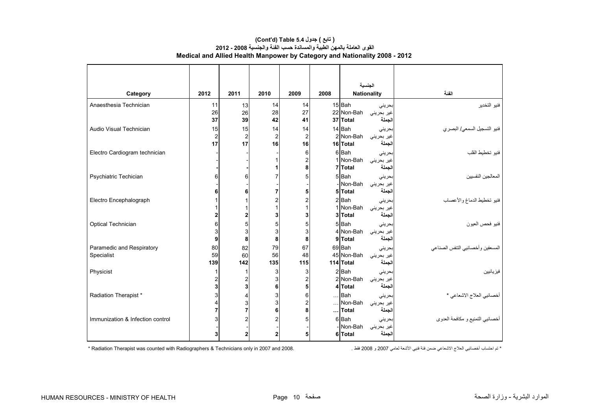|                                  |                |                     |                         |                              |      | الجنسية                                      |                                  |
|----------------------------------|----------------|---------------------|-------------------------|------------------------------|------|----------------------------------------------|----------------------------------|
| Category                         | 2012           | 2011                | 2010                    | 2009                         | 2008 | <b>Nationality</b>                           | الفنة                            |
| Anaesthesia Technician           | 11             | 13                  | 14                      | 14                           |      | 15 <sup>Bah</sup><br>بحرينى                  | فنيو التخدير                     |
|                                  | 26             | 26                  | 28                      | 27                           |      | 22 Non-Bah<br>غیر بحرینی                     |                                  |
|                                  | 37             | 39                  | 42                      | 41                           |      | 37 Total<br>لجملة                            |                                  |
| Audio Visual Technician          | 15             | 15                  | 14                      | 14                           |      | 14 Bah<br>بحرينى                             | فنيو التسجيل السمعي/ البصري      |
|                                  | $\overline{2}$ | $\overline{c}$      | $\overline{\mathbf{c}}$ | $\overline{\mathbf{c}}$      |      | 2 Non-Bah<br>غير بحريني                      |                                  |
|                                  | 17             | 17                  | 16                      | 16                           |      | لجملة<br>16 Total                            |                                  |
| Electro Cardiogram technician    |                |                     | 1                       | 6                            |      | 6 Bah<br>بحرينى<br>1 Non-Bah                 | فنيو تخطيط القلب                 |
|                                  |                |                     | 1                       | $\overline{\mathbf{c}}$<br>8 |      | غير بحريني<br>7 Total<br>الجملة              |                                  |
| Psychiatric Techician            | 6              | 6                   | 7                       | 5                            |      | 5Bah<br>بحرينى                               | المعالجين النفسيين               |
|                                  |                |                     |                         |                              |      | - Non-Bah<br>غیر بحرینی                      |                                  |
|                                  | 6              | 6                   | $\overline{7}$          | 5                            |      | لجملة<br>5 Total                             |                                  |
| Electro Encephalograph           |                | 1                   | $\overline{\mathbf{c}}$ | $\overline{\mathbf{c}}$      |      | $2$ $Bah$<br>بحريني                          | فنيو تخطيط الدماغ والأعصاب       |
|                                  |                | 1                   | $\mathbf{1}$            | 1                            |      | 1 Non-Bah<br>غیر بحرینی                      |                                  |
|                                  |                | $\mathbf{2}$        | 3                       | 3                            |      | لجملة<br>3 Total                             |                                  |
| Optical Technician               | 6              | 5                   | 5                       | 5                            |      | 5 Bah<br>بحريني                              | فنيو فحص العيون                  |
|                                  | 3              | 3                   | 3                       | 3                            |      | 4 Non-Bah<br>غیر بحرینی                      |                                  |
|                                  | 9              | 8                   | 8                       | 8                            |      | 9 Total<br>لجملة                             |                                  |
| Paramedic and Respiratory        | 80             | 82                  | 79                      | 67                           |      | 69 Bah<br>بحريني                             | المسعفين وأخصائيي التنفس الصناعي |
| Specialist                       | 59             | 60                  | 56                      | 48                           |      | 45 Non-Bah<br>غير بحريني                     |                                  |
|                                  | 139            | 142                 | 135                     | 115                          |      | الجملة<br>114 Total                          |                                  |
| Physicist                        |                | 1                   | 3<br>3                  | 3                            |      | $2$ $Bah$<br>بحرينى                          | فيز يائيين                       |
|                                  | 2<br>3         | $\overline{2}$<br>3 | 6                       | $\overline{c}$<br>5          |      | 2 Non-Bah<br>غیر بحرینی<br>الجملة<br>4 Total |                                  |
| Radiation Therapist *            |                |                     |                         |                              |      | $\ldots$ Bah                                 |                                  |
|                                  |                | 4<br>3              | 3<br>3                  | 6<br>$\overline{c}$          |      | بحرينى<br>Non-Bah<br>غیر بحرینی              | أخصائيي العلاج الاشعاعي *        |
|                                  |                | $\overline{7}$      | 6                       | 8                            |      | الجملة<br>$\ldots$ Total                     |                                  |
| Immunization & Infection control |                | $\overline{2}$      | $\overline{c}$          | 5                            |      | 6 Bah<br>بحرينى                              | أخصائيي التمنيع و مكافحة العدوي  |
|                                  |                |                     |                         |                              |      | Non-Bah<br>غير بحريني                        |                                  |
|                                  | 3              | $\mathbf{2}$        | $\mathbf 2$             | 5                            |      | لجملة<br>6 Total                             |                                  |

# **Medical and Allied Health Manpower by Category and Nationality 2008 - 2012 (Cont'd) Table 5.4 جدول ) تابع( القوى العاملة بالمھن الطبية والمساندة حسب الفئة والجنسية 2008 - 2012**

\* تم احتساب أخصائيي العالج االشعاعي ضمن فئة فنيي األشعة لعامي 2007 و 2008 فقط . 2008. and 2007 in only Technicians & Radiographers with counted was Therapist Radiation\*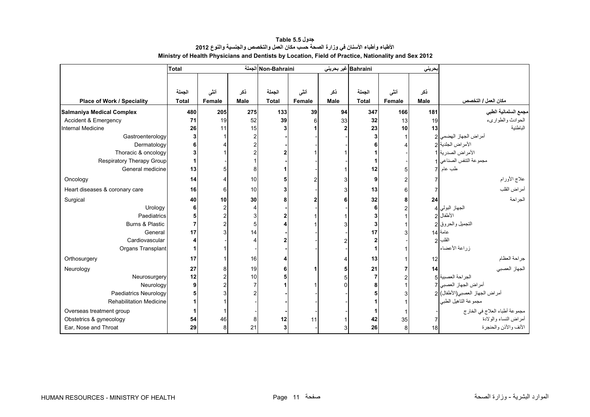<span id="page-9-0"></span>

|                                 | <b>Total</b> |        |                | Non-Bahraini الجملة |        |      | Bahraini غیر بحرینی |        | بحريني      |                                |
|---------------------------------|--------------|--------|----------------|---------------------|--------|------|---------------------|--------|-------------|--------------------------------|
|                                 |              |        |                |                     |        |      |                     |        |             |                                |
|                                 | الجملة       | أنشى   | نكر            | الجملة              | أننى   | نكر  | الجملة              | أنشى   | نكر         |                                |
| Place of Work / Speciality      | <b>Total</b> | Female | Male           | <b>Total</b>        | Female | Male | <b>Total</b>        | Female | <b>Male</b> | مكان العمل / التخصص            |
| Salmaniya Medical Complex       | 480          | 205    | 275            | 133                 | 39     | 94   | 347                 | 166    | 181         | مجمع السلمانية الطبي           |
| <b>Accident &amp; Emergency</b> | 71           | 19     | 52             | 39                  | 6      | 33   | 32                  | 13     | 19          | الحوادث والطواريء              |
| Internal Medicine               | 26           | 11     | 15             |                     |        |      | 23                  | 10     | 13          | الباطنية                       |
| Gastroenterology                |              |        | $\overline{c}$ |                     |        |      |                     |        |             | أمراض الجهاز الهضمى            |
| Dermatology                     |              |        | $\overline{c}$ |                     |        |      |                     |        |             | الأمراض الجلدية 2              |
| Thoracic & oncology             |              |        | $\overline{c}$ |                     |        |      |                     |        |             | الأمراض الصدرية 1              |
| Respiratory Therapy Group       |              |        |                |                     |        |      |                     |        |             | مجموعة التنفس الصناعي 1        |
| General medicine                | 13           |        | 8              |                     |        |      | 12                  | 5      |             | طب عام                         |
|                                 |              |        |                |                     |        |      |                     |        |             |                                |
| Oncology                        | 14           |        | 10             |                     | 2      |      | 9                   |        |             | علاج الأورام                   |
| Heart diseases & coronary care  | 16           | հ      | 10             |                     |        |      | 13                  | 6      |             | أمراض القلب                    |
| Surgical                        | 40           | 10     | 30             |                     | 2      |      | 32                  | 8      | 24          | الجراحة                        |
| Urology                         | 6            |        | 4              |                     |        |      |                     |        |             | الجهاز البولي 4                |
| Paediatrics                     | 5            |        | 3              |                     |        |      |                     |        |             | الأطفال 2                      |
| Burns & Plastic                 | 7            |        | 5              |                     |        |      |                     |        |             | التجميل والحروق 2              |
| General                         | 17           |        | 14             |                     |        |      | 17                  |        |             | عامة 14                        |
| Cardiovascular                  |              |        | $\overline{4}$ |                     |        |      |                     |        |             | القلب                          |
| Organs Transplant               |              |        |                |                     |        |      |                     |        |             | زراعة الأعضاء                  |
| Orthosurgery                    | 17           |        | 16             |                     |        |      | 13                  |        | 12          | جراحة العظام                   |
| Neurology                       | 27           |        | 19             | 6                   |        |      | 21                  |        | 14          | الجهاز العصبي                  |
| Neurosurgery                    | 12           |        | 10             |                     |        |      |                     |        |             | الجراحة العصبية 5              |
| Neurology                       | 9            |        | 7              |                     |        |      |                     |        |             | أمراض الجهاز العصبي 7          |
| <b>Paediatrics Neurology</b>    |              |        | $\overline{c}$ |                     |        |      |                     |        |             | أمراض الجهاز العصبي(الأطفال) 2 |
| <b>Rehabilitation Medicine</b>  |              |        |                |                     |        |      |                     |        |             | مجموعة التاهيل الطبي           |
| Overseas treatment group        |              |        |                |                     |        |      |                     |        |             | مجموعة أطباء العلاج في الخارج  |
| Obstetrics & gynecology         | 54           | 46     | 8              | 12                  | 11     |      | 42                  | 35     |             | أمراض النساء والولادة          |
| Ear, Nose and Throat            | 29           |        | 21             |                     |        |      | 26                  | 8      | 18          | الأنف والأذن والحنجرة          |

**جدول 5.5 Table األطباء وأطباء األسنان في وزارة الصحة حسب مكان العمل والتخصص والجنسية والنوع <sup>2012</sup> Ministry of Health Physicians and Dentists by Location, Field of Practice, Nationality and Sex 2012**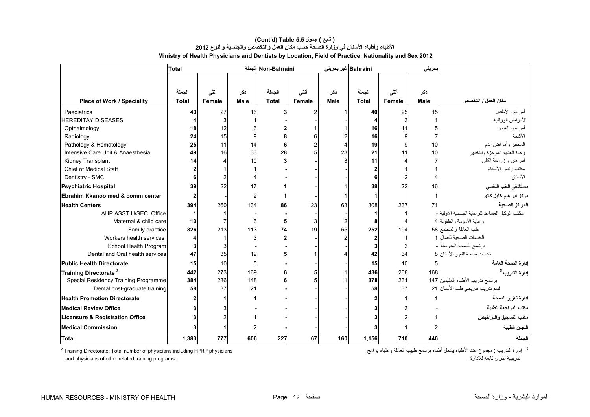|                                            | <b>Total</b> |        |             | Non-Bahraini الجملة |                |             | Bahraini غير بحريني |        | بحريني      |                                                |
|--------------------------------------------|--------------|--------|-------------|---------------------|----------------|-------------|---------------------|--------|-------------|------------------------------------------------|
|                                            |              |        |             |                     |                |             |                     |        |             |                                                |
|                                            | الجملة       | أننى   | ڏکر         | الجملة              |                | ذكر         | الجملة              | أنشى   | ذكر         |                                                |
|                                            | <b>Total</b> |        | <b>Male</b> | <b>Total</b>        | أنشى<br>Female | <b>Male</b> | <b>Total</b>        |        | <b>Male</b> | مكان العمل / التخصص                            |
| Place of Work / Speciality                 |              | Female |             |                     |                |             |                     | Female |             |                                                |
| Paediatrics                                | 43           | 27     | 16          |                     | 2              |             | 40                  | 25     | 15          | أمراض الأطفال                                  |
| <b>HEREDITAY DISEASES</b>                  |              | 3      |             |                     |                |             |                     | 3      |             | الأمراض الوراثية                               |
| Opthalmology                               | 18           | 12     |             |                     |                |             | 16                  | 11     |             | أمراض العيون                                   |
| Radiology                                  | 24           | 15     | 9           |                     |                |             | 16                  | 9      |             | الأشعة                                         |
| Pathology & Hematology                     | 25           | 11     | 14          |                     | 2              |             | 19                  | 9      | 10          | المختبر وأمراض الدم                            |
| Intensive Care Unit & Anaesthesia          | 49           | 16     | 33          | 28                  | 5              | 23          | 21                  | 11     | 10          | وحدة العناية المركزة والتخدير                  |
| Kidney Transplant                          | 14           |        | 10          |                     |                |             | 11                  |        |             | أمراض و زراعة الكلي                            |
| Chief of Medical Staff                     |              |        |             |                     |                |             |                     |        |             | مكتب رئيس الأطباء                              |
| Dentistry - SMC                            |              |        |             |                     |                |             |                     |        |             | الأسنان                                        |
| <b>Psychiatric Hospital</b>                | 39           | 22     | 17          |                     |                |             | 38                  | 22     | 16          | مستشفى الطب النفسي                             |
| Ebrahim Kkanoo med & comm center           |              |        | 2           |                     |                |             |                     |        |             | مركز ابراهيم خليل كانو                         |
| <b>Health Centers</b>                      | 394          | 260    | 134         | 86                  | 23             | 63          | 308                 | 237    | 71          | المراكز الصحية                                 |
| AUP ASST U/SEC Office                      |              |        |             |                     |                |             |                     |        |             | مكتب الوكيل المساعد للر عاية الصحية الأولية  - |
| Maternal & child care                      | 13           |        | 6           |                     | 3              |             | 8                   |        |             | ر عاية الأمومة والطفولة 4                      |
| Family practice                            | 326          | 213    | 113         | 74                  | 19             | 55          | 252                 | 194    |             | طب العائلة والمجتمع 38                         |
| Workers health services                    |              |        | 3           |                     |                |             |                     |        |             | الخدمات الصحية للعمال 1                        |
| School Health Program                      | 3            |        |             |                     |                |             |                     | 3      |             | برنامج الصحة المدرسية  -                       |
| Dental and Oral health services            | 47           | 35     | 12          |                     |                |             | 42                  | 34     |             | خدمات صحة الفم و الأسنان 8                     |
| <b>Public Health Directorate</b>           | 15           | 10     | 5           |                     |                |             | 15                  | 10     |             | إدارة الصحة العامة                             |
| Training Directorate <sup>2</sup>          | 442          | 273    | 169         |                     | 5              |             | 436                 | 268    | 168         | إدارة التدريب <sup>2</sup>                     |
| Special Residency Training Programme       | 384          | 236    | 148         |                     |                |             | 378                 | 231    |             | برنامج تدريب الأطباء المقيمين 147              |
| Dental post-graduate training              | 58           | 37     | 21          |                     |                |             | 58                  | 37     |             | قسم تدريب خريجي طب الأسنان 21                  |
| <b>Health Promotion Directorate</b>        |              |        |             |                     |                |             |                     |        |             | ادارة تعزيز الصحة                              |
| <b>Medical Review Office</b>               |              |        |             |                     |                |             |                     |        |             | مكتب المراجعة الطبية                           |
| <b>Licensure &amp; Registration Office</b> |              |        |             |                     |                |             |                     |        |             | مكتب التسجيل والتراخيص                         |
| <b>Medical Commission</b>                  |              |        |             |                     |                |             |                     |        |             | اللجان الطبية                                  |
| <b>Total</b>                               | 1,383        | 777    | 606         | 227                 | 67             | 160         | 1.156               | 710    | 446         | الحملة                                         |

# **Ministry of Health Physicians and Dentists by Location, Field of Practice, Nationality and Sex 2012 (Cont'd) Table 5.5 جدول ) تابع( األطباء وأطباء األسنان في وزارة الصحة حسب مكان العمل والتخصص والجنسية والنوع <sup>2012</sup>**

<sup>2</sup> Training Directorate: Total number of physicians including FPRP physicians

<sup>2</sup> إدارة التدريب : مجموع عدد الأطباء يشمل أطباء برنامج طبيب العائلة وأطباء برامج and physicians of other related training programs . . لإلدارة تابعة أخرى تدريبية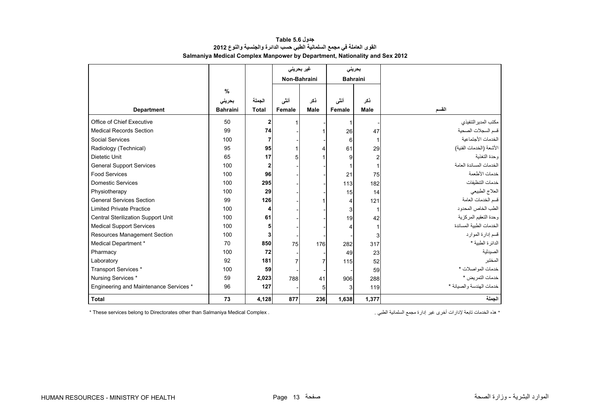<span id="page-11-0"></span>

|                                        |                 |                |                | غیر بحرینی     |                 | بحريني         |                          |
|----------------------------------------|-----------------|----------------|----------------|----------------|-----------------|----------------|--------------------------|
|                                        |                 |                | Non-Bahraini   |                | <b>Bahraini</b> |                |                          |
|                                        | $\%$            |                |                |                |                 |                |                          |
|                                        | بحرينى          | الجملة         | أنشى           | نكر            | أنشى            | ذكر            |                          |
| <b>Department</b>                      | <b>Bahraini</b> | <b>Total</b>   | Female         | <b>Male</b>    | Female          | <b>Male</b>    | القسم                    |
|                                        |                 |                |                |                |                 |                |                          |
| Office of Chief Executive              | 50              | $\mathbf{2}$   | 1              |                |                 |                | مكتب المدير التنفيذي     |
| <b>Medical Records Section</b>         | 99              | 74             |                |                | 26              | 47             | قسم السجلات الصحية       |
| Social Services                        | 100             | 7              |                |                | 6               |                | الخدمات الأجتماعية       |
| Radiology (Technical)                  | 95              | 95             | 1              | 4              | 61              | 29             | الأشعة (الخدمات الفنية)  |
| Dietetic Unit                          | 65              | 17             | 5              |                | 9               | $\overline{2}$ | وحدة التغذية             |
| <b>General Support Services</b>        | 100             | $\overline{2}$ |                |                |                 |                | الخدمات المساندة العامة  |
| <b>Food Services</b>                   | 100             | 96             |                |                | 21              | 75             | خدمات الأطعمة            |
| <b>Domestic Services</b>               | 100             | 295            |                |                | 113             | 182            | خدمات التنظيفات          |
| Physiotherapy                          | 100             | 29             |                |                | 15              | 14             | العلاج الطبيعي           |
| <b>General Services Section</b>        | 99              | 126            |                |                |                 | 121            | قسم الخدمات العامة       |
| <b>Limited Private Practice</b>        | 100             | 4              |                |                | 3               | ŕ              | الطب الخاص المحدود       |
| Central Sterilization Support Unit     | 100             | 61             |                |                | 19              | 42             | وحدة التعقيم المركزية    |
| <b>Medical Support Services</b>        | 100             | 5              |                |                |                 |                | الخدمات الطببة المساندة  |
| <b>Resources Management Section</b>    | 100             | 3              |                |                |                 | 3              | قسم إدارة الموارد        |
| Medical Department *                   | 70              | 850            | 75             | 176            | 282             | 317            | الدائر ة الطبية *        |
| Pharmacy                               | 100             | 72             |                |                | 49              | 23             | الصيدلية                 |
| Laboratory                             | 92              | 181            | $\overline{7}$ | $\overline{7}$ | 115             | 52             | المخنبر                  |
| Transport Services *                   | 100             | 59             |                |                |                 | 59             | خدمات المواصلات *        |
| Nursing Services *                     | 59              | 2,023          | 788            | 41             | 906             | 288            | خدمات التمريض *          |
| Engineering and Maintenance Services * | 96              | 127            |                | 5              | 3               | 119            | خدمات الهندسة والصيانة * |
| <b>Total</b>                           | 73              | 4,128          | 877            | 236            | 1,638           | 1,377          | الجملة                   |

# **جدول 5.6 Table القوى العاملة في مجمع السلمانية الطبي حسب الدائرة والجنسية والنوع <sup>2012</sup> Salmaniya Medical Complex Manpower by Department, Nationality and Sex 2012**

\* These services belong to Directorates other than Salmaniya Medical Complex .

\* ھذه الخدمات تابعة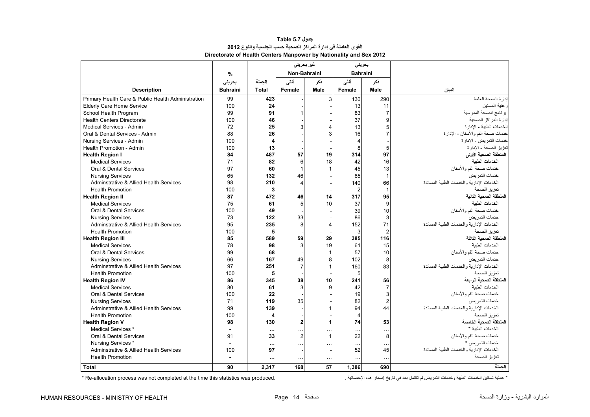<span id="page-12-0"></span>

|                                                    |                 |                | غیر بحرین <i>ی</i>      |              |                | بحريني          |                                             |
|----------------------------------------------------|-----------------|----------------|-------------------------|--------------|----------------|-----------------|---------------------------------------------|
|                                                    | %               |                | Non-Bahraini            |              |                | <b>Bahraini</b> |                                             |
|                                                    | بحريني          | الجملة         | أنشى                    | ڏکر          | أنشى           | ذكر             |                                             |
| <b>Description</b>                                 | <b>Bahraini</b> | <b>Total</b>   | Female                  | Male         | Female         | Male            | البيان                                      |
| Primary Health Care & Public Health Administration | 99              | 423            |                         | 3            | 130            | 290             | إدارة الصحة العامة                          |
| <b>Elderly Care Home Service</b>                   | 100             | 24             |                         |              | 13             | 11              | ر عاية المسنين                              |
| School Health Program                              | 99              | 91             |                         |              | 83             | $\overline{7}$  | برنامج الصحة المدرسية                       |
| <b>Health Centers Directorate</b>                  | 100             | 46             |                         |              | 37             | g               | إدارة المراكز الصحبة                        |
| Medical Services - Admin                           | 72              | 25             | 3                       | 4            | 13             | 5               | الخدمات الطببة - الإدار ة                   |
| Oral & Dental Services - Admin                     | 88              | 26             |                         | 3            | 16             | $\overline{7}$  | خدمات صحة الفم والأسنان - الإدارة           |
| Nursing Services - Admin                           | 100             | $\overline{4}$ |                         |              | 4              |                 | خدمات التمريض - الإدار ة                    |
| Health Promotion - Admin                           | 100             | 13             |                         |              | 8              | 5               | تعزيز الصحة - الإدار ة                      |
| <b>Health Region I</b>                             | 84              | 487            | 57                      | 19           | 314            | 97              | المنطقة الصحية الأولى                       |
| <b>Medical Services</b>                            | 71              | 82             | 6                       | 18           | 42             | 16              | الخدمات الطنبة                              |
| Oral & Dental Services                             | 97              | 60             | $\mathbf{1}$            |              | 45             | 13              | خدمات صحة الفم و الأسنان                    |
| <b>Nursing Services</b>                            | 65              | 132            | 46                      |              | 85             | $\mathbf{1}$    | خدمات التمر بض                              |
| Adminstrative & Allied Health Services             | 98              | 210            | $\overline{4}$          |              | 140            | 66              | الخدمات الإدار بة و الخدمات الطببة المساندة |
| <b>Health Promotion</b>                            | 100             | 3              |                         |              | $\overline{2}$ | $\mathbf{1}$    | تعزيز الصحة                                 |
| <b>Health Region II</b>                            | 87              | 472            | 46                      | 14           | 317            | 95              | المنطقة الصحبة الثانية                      |
| <b>Medical Services</b>                            | 75              | 61             | 5                       | 10           | 37             | 9               | الخدمات الطنبة                              |
| Oral & Dental Services                             | 100             | 49             |                         |              | 39             | 10              | خدمات صحة الفم و الأسنان                    |
| <b>Nursing Services</b>                            | 73              | 122            | 33                      |              | 86             | 3               | خدمات التمر بض                              |
| Adminstrative & Allied Health Services             | 95              | 235            | 8                       | 4            | 152            | 71              | الخدمات الإدارية والخدمات الطبية المساندة   |
| <b>Health Promotion</b>                            | 100             | 5              |                         |              | 3              | $\overline{2}$  | تعزيز الصحة                                 |
| <b>Health Region III</b>                           | 85              | 589            | 59                      | 29           | 385            | 116             | المنطقة الصحبة الثالثة                      |
| <b>Medical Services</b>                            | 78              | 98             | 3                       | 19           | 61             | 15              | الخدمات الطببة                              |
| Oral & Dental Services                             | 99              | 68             |                         | 1            | 57             | 10              | خدمات صحة الفم والأسنان                     |
| <b>Nursing Services</b>                            | 66              | 167            | 49                      | 8            | 102            | 8               | خدمات التمر بض                              |
| Adminstrative & Allied Health Services             | 97              | 251            | $\overline{7}$          | $\mathbf{1}$ | 160            | 83              | الخدمات الإدار بة و الخدمات الطببة المساندة |
| <b>Health Promotion</b>                            | 100             | 5              |                         |              | 5              |                 | تعزيز الصحة                                 |
| <b>Health Region IV</b>                            | 86              | 345            | 38                      | 10           | 241            | 56              | المنطقة الصحية الر ابعة                     |
| <b>Medical Services</b>                            | 80              | 61             | 3                       | 9            | 42             | $\overline{7}$  | الخدمات الطنبة                              |
| Oral & Dental Services                             | 100             | 22             |                         |              | 19             | 3               | خدمات صحة الفم و الأسنان                    |
| <b>Nursing Services</b>                            | 71              | 119            | 35                      |              | 82             | $\overline{c}$  | خدمات التمر بض                              |
| Adminstrative & Allied Health Services             | 99              | 139            |                         |              | 94             | 44              | الخدمات الإدارية والخدمات الطبية المساندة   |
| <b>Health Promotion</b>                            | 100             | 4              |                         |              | 4              |                 | تعزيز الصحة                                 |
| <b>Health Region V</b>                             | 98              | 130            | $\overline{\mathbf{2}}$ | 1            | 74             | 53              | المنطقة الصحبة الخامسة                      |
| Medical Services *                                 | $\overline{a}$  | $\cdots$       | $\ddotsc$               |              | $\sim$ .       | $\ddots$        | الخدمات الطنبة *                            |
| Oral & Dental Services                             | 91              | 33             | $\overline{2}$          | $\mathbf{1}$ | 22             | 8               | خدمات صحة الفم و الأسنان                    |
| Nursing Services *                                 | $\omega$        | $\cdots$       | $\ddotsc$               | $\ddotsc$    | $\ddotsc$      | $\ddots$        | خدمات الثمر بض *                            |
| Adminstrative & Allied Health Services             | 100             | 97             |                         |              | 52             | 45              | الخدمات الإدارية والخدمات الطبية المساندة   |
| <b>Health Promotion</b>                            | $\overline{a}$  |                | $\ddotsc$               | $\ddotsc$    | $\ddotsc$      | $\ddots$        | تعزيز الصحة                                 |
| <b>Total</b>                                       | 90              | 2.317          | 168                     | 57           | 1.386          | 690             | الحملة                                      |

#### **جدول 5.7 Table القوى العاملة في إدارة المراكز الصحية حسب الجنسية والنوع <sup>2012</sup> Directorate of Health Centers Manpower by Nationality and Sex 2012**

\* عملية تسكين الخدمات الطبية وخدمات التمريض لم تكتمل بعد في تاريخ إصدار هذه الإحصائية . . .<br>\* عملية تسكين الخدمات الصريض لم تكتمل بعد في تاريخ إصدار هذه الإحصائية .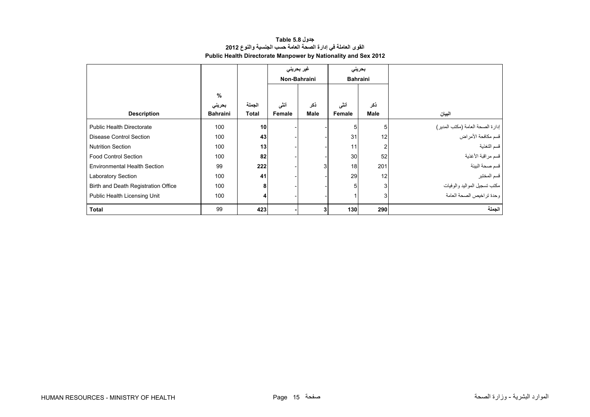| جدول Table 5.8                                                        |  |  |  |  |  |  |  |  |
|-----------------------------------------------------------------------|--|--|--|--|--|--|--|--|
| القوى العاملة في إدارة الصحة العامة حسب الجنسية والنوع 2012           |  |  |  |  |  |  |  |  |
| <b>Public Health Directorate Manpower by Nationality and Sex 2012</b> |  |  |  |  |  |  |  |  |

<span id="page-13-0"></span>

|                                     |                 |        | غیر بحرینی |              | بحريني          |                |                                                        |
|-------------------------------------|-----------------|--------|------------|--------------|-----------------|----------------|--------------------------------------------------------|
|                                     |                 |        |            | Non-Bahraini | <b>Bahraini</b> |                |                                                        |
|                                     | $\%$            |        |            |              |                 |                |                                                        |
|                                     | بحرينى          | الجملة | أنشى       | نكر          | أنشى            | ذكر            |                                                        |
| <b>Description</b>                  | <b>Bahraini</b> | Total  | Female     | <b>Male</b>  | Female          | <b>Male</b>    | البيان                                                 |
| <b>Public Health Directorate</b>    | 100             | 10     |            |              |                 |                |                                                        |
| <b>Disease Control Section</b>      | 100             | 43     |            |              | 31              | 12             | إدارة الصحة العامة (مكتب المدير)<br>قسم مكافحة الأمراض |
| <b>Nutrition Section</b>            | 100             | 13     |            |              | 11              | 2              | ِ<br>قسم التغذية                                       |
| <b>Food Control Section</b>         | 100             | 82     |            |              | 30              | 52             | قسم مراقبة الأغذية                                     |
| <b>Environmental Health Section</b> | 99              | 222    |            | 3            | 18              | 201            | قسم صحة البيئة                                         |
| <b>Laboratory Section</b>           | 100             | 41     |            |              | 29              | 12             | قسم المختبر                                            |
| Birth and Death Registration Office | 100             | 8      |            |              | 5               | 3              | مكتب تسجيل المواليد والوفيات                           |
| Public Health Licensing Unit        | 100             | 4      |            |              |                 | 3 <sub>l</sub> | وحدة تراخيص الصحة العامة                               |
| <b>Total</b>                        | 99              | 423    |            |              | 130             | 290            | الجملة                                                 |